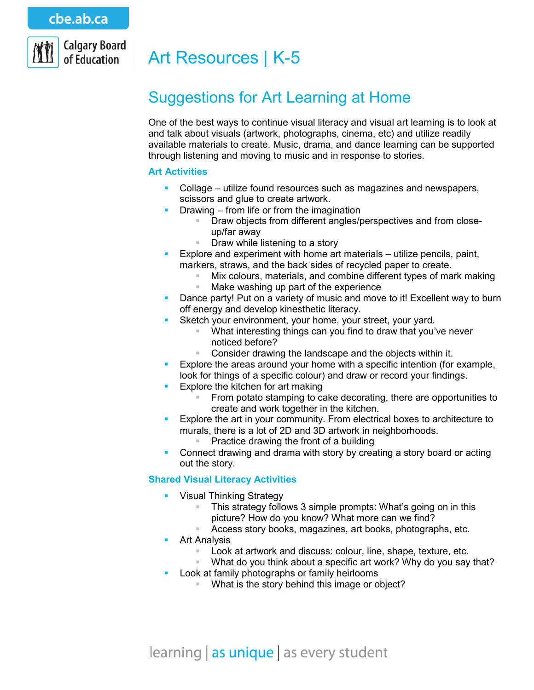

# Art Resources | K-5

# Suggestions for Art Learning at Home

One of the best ways to continue visual literacy and visual art learning is to look at and talk about visuals (artwork, photographs, cinema, etc) and utilize readily available materials to create. Music, drama, and dance learning can be supported through listening and moving to music and in response to stories.

#### **Art Activities**

- Collage utilize found resources such as magazines and newspapers, scissors and glue to create artwork.
- **Drawing from life or from the imagination** 
	- Draw objects from different angles/perspectives and from closeup/far away
	- Draw while listening to a story
- Explore and experiment with home art materials utilize pencils, paint, markers, straws, and the back sides of recycled paper to create.
	- Mix colours, materials, and combine different types of mark making<br>■ Make washing up part of the experience
	- Make washing up part of the experience
- **Dance party! Put on a variety of music and move to it! Excellent way to burn** off energy and develop kinesthetic literacy.
- **Sketch your environment, your home, your street, your yard.** 
	- What interesting things can you find to draw that you've never noticed before?
	- Consider drawing the landscape and the objects within it.
- **Explore the areas around your home with a specific intention (for example,**
- look for things of a specific colour) and draw or record your findings.
- **Explore the kitchen for art making** 
	- From potato stamping to cake decorating, there are opportunities to create and work together in the kitchen.
- **Explore the art in your community. From electrical boxes to architecture to** murals, there is a lot of 2D and 3D artwork in neighborhoods.
	- Practice drawing the front of a building
- **Connect drawing and drama with story by creating a story board or acting** out the story.

## **Shared Visual Literacy Activities**

- Visual Thinking Strategy
	- This strategy follows 3 simple prompts: What's going on in this picture? How do you know? What more can we find?
	- Access story books, magazines, art books, photographs, etc.
- **Art Analysis** 
	- Look at artwork and discuss: colour, line, shape, texture, etc.
	- What do you think about a specific art work? Why do you say that?
	- Look at family photographs or family heirlooms
		- What is the story behind this image or object?